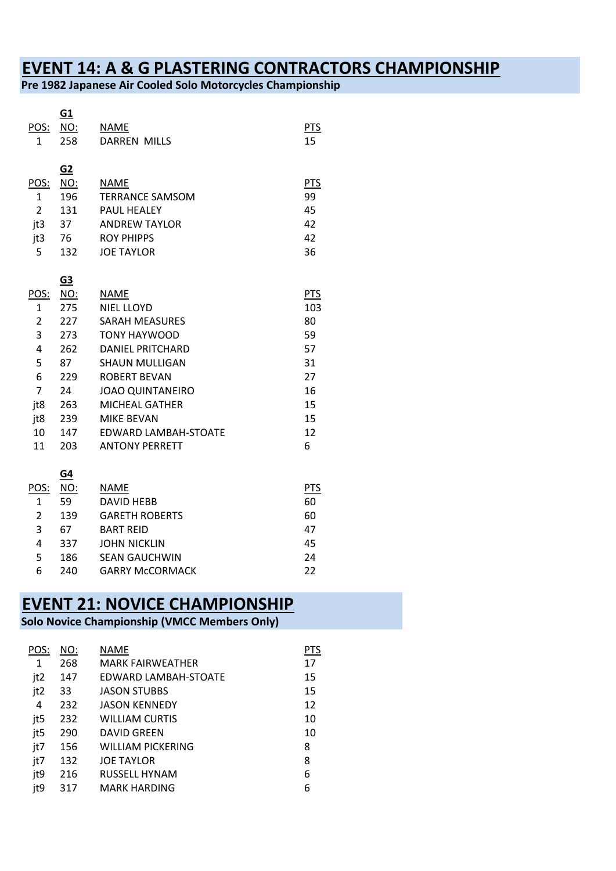# **EVENT 14: A & G PLASTERING CONTRACTORS CHAMPIONSHIP**

**Pre 1982 Japanese Air Cooled Solo Motorcycles Championship**

|                | <u>G1</u>  |                             |            |
|----------------|------------|-----------------------------|------------|
| POS:           | <u>NO:</u> | NAME                        | <b>PTS</b> |
| 1              | 258        | <b>DARREN MILLS</b>         | 15         |
|                |            |                             |            |
|                | <u>G2</u>  |                             |            |
| POS:           | <u>NO:</u> | NAME                        | <b>PTS</b> |
| 1              | 196        | <b>TERRANCE SAMSOM</b>      | 99         |
| $\overline{2}$ | 131        | <b>PAUL HFALFY</b>          | 45         |
| jt3            | 37         | <b>ANDREW TAYLOR</b>        | 42         |
| jt3            | 76         | <b>ROY PHIPPS</b>           | 42         |
| 5              | 132        | <b>JOE TAYLOR</b>           | 36         |
|                |            |                             |            |
|                | <u>G3</u>  |                             |            |
| POS:           | <b>NO:</b> | <b>NAME</b>                 | <b>PTS</b> |
| 1              | 275        | <b>NIEL LLOYD</b>           | 103        |
| 2              | 227        | <b>SARAH MEASURES</b>       | 80         |
| 3              | 273        | <b>TONY HAYWOOD</b>         | 59         |
| 4              | 262        | DANIFL PRITCHARD            | 57         |
| 5              | 87         | <b>SHAUN MULLIGAN</b>       | 31         |
| 6              | 229        | <b>ROBERT BEVAN</b>         | 27         |
| $\overline{7}$ | 24         | <b>JOAO QUINTANEIRO</b>     | 16         |
| jt8            | 263        | <b>MICHEAL GATHER</b>       | 15         |
| jt8            | 239        | <b>MIKE BEVAN</b>           | 15         |
| 10             | 147        | <b>EDWARD LAMBAH-STOATE</b> | 12         |
| 11             | 203        | <b>ANTONY PERRETT</b>       | 6          |

|      | <u>G4</u> |                        |     |
|------|-----------|------------------------|-----|
| POS: | NO:       | <b>NAME</b>            | PTS |
| 1    | 59        | <b>DAVID HEBB</b>      | 60  |
| 2    | 139       | <b>GARETH ROBERTS</b>  | 60  |
| 3    | 67        | <b>BART REID</b>       | 47  |
| 4    | 337       | <b>JOHN NICKLIN</b>    | 45  |
| 5    | 186       | <b>SEAN GAUCHWIN</b>   | 24  |
| 6    | 240       | <b>GARRY McCORMACK</b> | 22  |

### **EVENT 21: NOVICE CHAMPIONSHIP**

#### **Solo Novice Championship (VMCC Members Only)**

| POS: | NO: | NAME                     | <b>PTS</b> |
|------|-----|--------------------------|------------|
| 1    | 268 | <b>MARK FAIRWFATHFR</b>  | 17         |
| jt2  | 147 | EDWARD LAMBAH-STOATE     | 15         |
| jt2  | 33  | <b>JASON STUBBS</b>      | 15         |
| 4    | 232 | <b>JASON KENNEDY</b>     | 12         |
| jt5  | 232 | <b>WILLIAM CURTIS</b>    | 10         |
| jt5  | 290 | DAVID GREEN              | 10         |
| jt7  | 156 | <b>WILLIAM PICKERING</b> | 8          |
| jt7  | 132 | <b>JOE TAYLOR</b>        | 8          |
| jt9  | 216 | RUSSELL HYNAM            | 6          |
| jt9  | 317 | <b>MARK HARDING</b>      | 6          |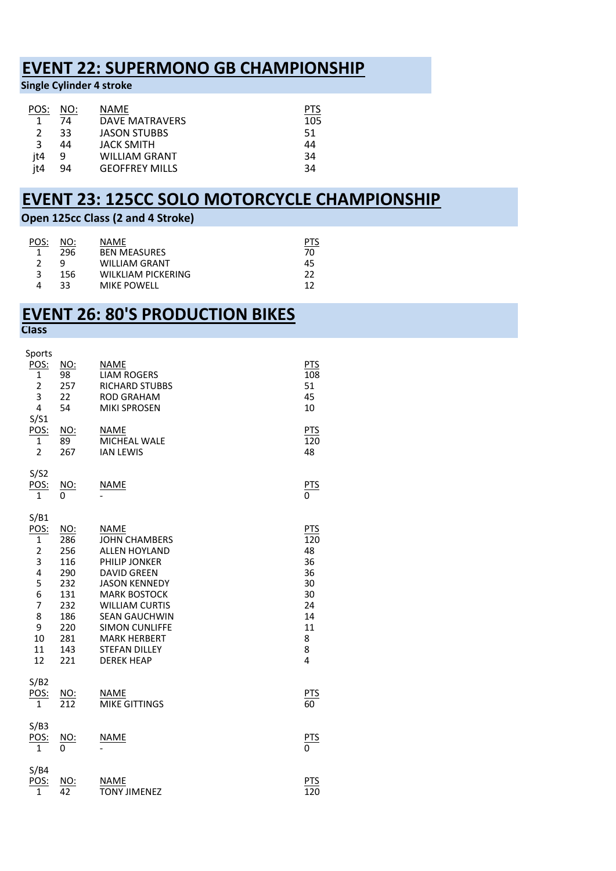## **EVENT 22: SUPERMONO GB CHAMPIONSHIP**

**Single Cylinder 4 stroke** 

| NO: | NAME                  | PTS |
|-----|-----------------------|-----|
| 74  | <b>DAVE MATRAVERS</b> | 105 |
| २२  | <b>JASON STUBBS</b>   | 51  |
| 44  | <b>JACK SMITH</b>     | 44  |
| q   | <b>WILLIAM GRANT</b>  | 34  |
| 94  | <b>GEOFFREY MILLS</b> | 34  |
|     |                       |     |

## **EVENT 23: 125CC SOLO MOTORCYCLE CHAMPIONSHIP**

#### **Open 125cc Class (2 and 4 Stroke)**

| POS: | NO: | <b>NAME</b>          |    |
|------|-----|----------------------|----|
|      | 296 | <b>BEN MEASURES</b>  | 70 |
|      | Q   | <b>WILLIAM GRANT</b> | 45 |
|      | 156 | WILKLIAM PICKERING   | 22 |
|      | 33  | <b>MIKE POWELL</b>   | 17 |

#### **EVENT 26: 80'S PRODUCTION BIKES Class**

| Sports                                                                                                          |                                                                                         |                                                                                                                                                                                                                                                                                                 |                                                                                  |
|-----------------------------------------------------------------------------------------------------------------|-----------------------------------------------------------------------------------------|-------------------------------------------------------------------------------------------------------------------------------------------------------------------------------------------------------------------------------------------------------------------------------------------------|----------------------------------------------------------------------------------|
| <b>POS:</b><br>1<br>$\overline{\mathbf{c}}$<br>$\overline{3}$                                                   | <u>NO:</u><br>98<br>257<br>22                                                           | <b>NAME</b><br><b>LIAM ROGERS</b><br>RICHARD STUBBS<br><b>ROD GRAHAM</b>                                                                                                                                                                                                                        | <b>PTS</b><br>108<br>51<br>45                                                    |
| 4                                                                                                               | 54                                                                                      | <b>MIKI SPROSEN</b>                                                                                                                                                                                                                                                                             | 10                                                                               |
| S/S1<br><b>POS:</b><br>1<br>$\overline{2}$                                                                      | NO:<br>89<br>267                                                                        | <b>NAME</b><br>MICHEAL WALE<br><b>IAN LEWIS</b>                                                                                                                                                                                                                                                 | <b>PTS</b><br>120<br>48                                                          |
| S/S2<br><u>POS:</u><br>1                                                                                        | $rac{NO}{0}$                                                                            | <b>NAME</b>                                                                                                                                                                                                                                                                                     | $rac{\text{PTS}}{0}$                                                             |
| S/B1<br>POS:<br>$\mathbf 1$<br>$\overline{2}$<br>3<br>4<br>5<br>6<br>$\overline{7}$<br>8<br>9<br>10<br>11<br>12 | NO:<br>286<br>256<br>116<br>290<br>232<br>131<br>232<br>186<br>220<br>281<br>143<br>221 | <b>NAME</b><br><b>JOHN CHAMBERS</b><br><b>ALLEN HOYLAND</b><br>PHILIP JONKER<br><b>DAVID GREEN</b><br><b>JASON KENNEDY</b><br><b>MARK BOSTOCK</b><br><b>WILLIAM CURTIS</b><br><b>SEAN GAUCHWIN</b><br><b>SIMON CUNLIFFE</b><br><b>MARK HERBERT</b><br><b>STEFAN DILLEY</b><br><b>DEREK HEAP</b> | <b>PTS</b><br>120<br>48<br>36<br>36<br>30<br>30<br>24<br>14<br>11<br>8<br>8<br>4 |
| S/B2<br>$rac{POS}{1}$                                                                                           | $\frac{NO:}{212}$                                                                       | <b>NAME</b><br><b>MIKE GITTINGS</b>                                                                                                                                                                                                                                                             | $rac{\text{PTS}}{60}$                                                            |
| S/B3<br><u>POS:</u><br>1                                                                                        | $rac{NO}{0}$                                                                            | <u>NAME</u>                                                                                                                                                                                                                                                                                     | $rac{\text{PTS}}{0}$                                                             |
| S/B4<br>POS:<br>$\mathbf{1}$                                                                                    | <u>NO:</u><br>$\overline{42}$                                                           | <b>NAME</b><br><b>TONY JIMENEZ</b>                                                                                                                                                                                                                                                              | $rac{PTS}{120}$                                                                  |